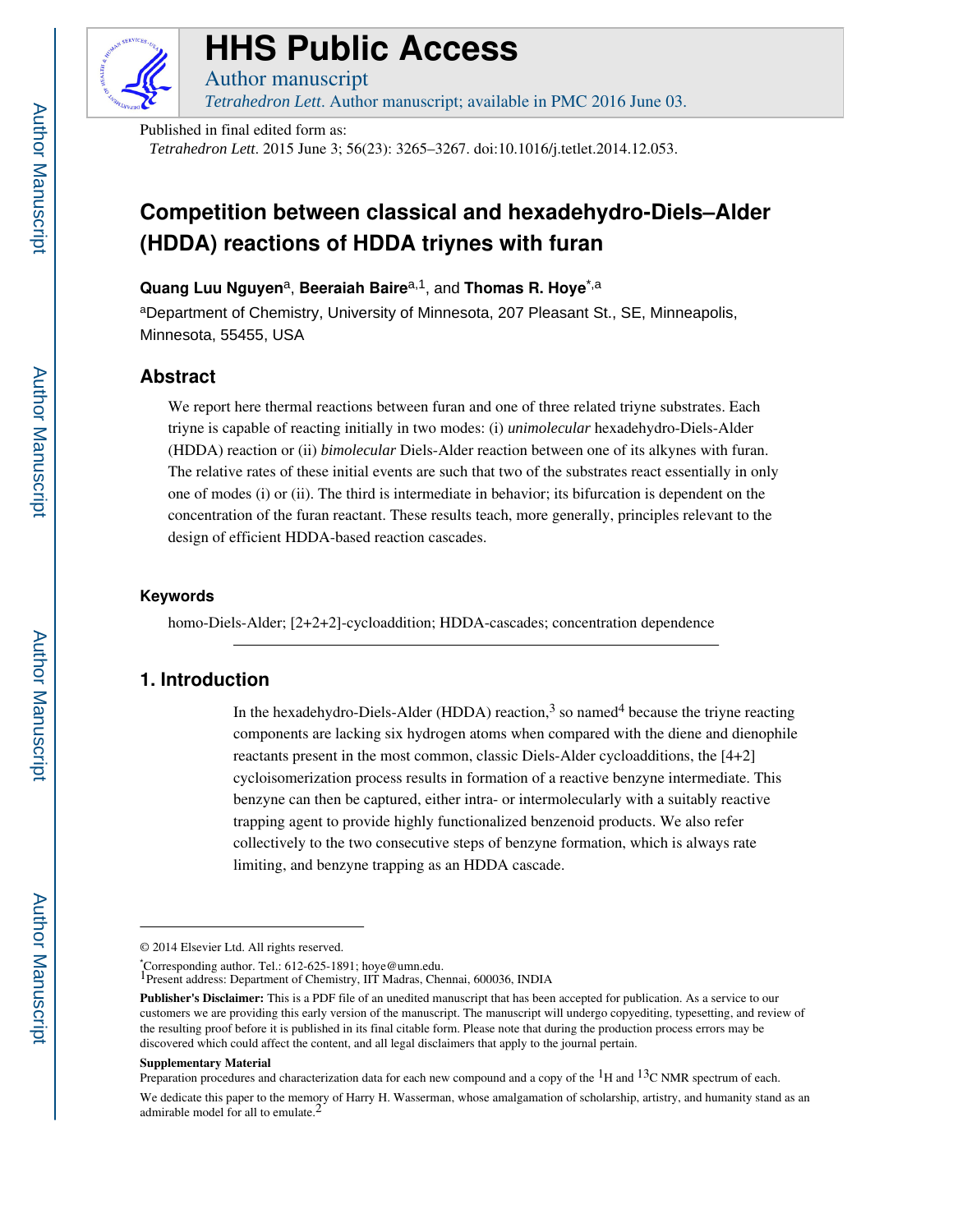

# **HHS Public Access**

Author manuscript *Tetrahedron Lett*. Author manuscript; available in PMC 2016 June 03.

Published in final edited form as:

#### *Tetrahedron Lett*. 2015 June 3; 56(23): 3265–3267. doi:10.1016/j.tetlet.2014.12.053.

# **Competition between classical and hexadehydro-Diels–Alder (HDDA) reactions of HDDA triynes with furan**

**Quang Luu Nguyen**a, **Beeraiah Baire**a,1, and **Thomas R. Hoye**\*,a

<sup>a</sup>Department of Chemistry, University of Minnesota, 207 Pleasant St., SE, Minneapolis, Minnesota, 55455, USA

## **Abstract**

We report here thermal reactions between furan and one of three related triyne substrates. Each triyne is capable of reacting initially in two modes: (i) *unimolecular* hexadehydro-Diels-Alder (HDDA) reaction or (ii) *bimolecular* Diels-Alder reaction between one of its alkynes with furan. The relative rates of these initial events are such that two of the substrates react essentially in only one of modes (i) or (ii). The third is intermediate in behavior; its bifurcation is dependent on the concentration of the furan reactant. These results teach, more generally, principles relevant to the design of efficient HDDA-based reaction cascades.

#### **Keywords**

homo-Diels-Alder; [2+2+2]-cycloaddition; HDDA-cascades; concentration dependence

# **1. Introduction**

In the hexadehydro-Diels-Alder (HDDA) reaction,<sup>3</sup> so named<sup>4</sup> because the triyne reacting components are lacking six hydrogen atoms when compared with the diene and dienophile reactants present in the most common, classic Diels-Alder cycloadditions, the [4+2] cycloisomerization process results in formation of a reactive benzyne intermediate. This benzyne can then be captured, either intra- or intermolecularly with a suitably reactive trapping agent to provide highly functionalized benzenoid products. We also refer collectively to the two consecutive steps of benzyne formation, which is always rate limiting, and benzyne trapping as an HDDA cascade.

#### **Supplementary Material**

<sup>© 2014</sup> Elsevier Ltd. All rights reserved.

<sup>\*</sup>Corresponding author. Tel.: 612-625-1891; hoye@umn.edu. 1Present address: Department of Chemistry, IIT Madras, Chennai, 600036, INDIA

**Publisher's Disclaimer:** This is a PDF file of an unedited manuscript that has been accepted for publication. As a service to our customers we are providing this early version of the manuscript. The manuscript will undergo copyediting, typesetting, and review of the resulting proof before it is published in its final citable form. Please note that during the production process errors may be discovered which could affect the content, and all legal disclaimers that apply to the journal pertain.

Preparation procedures and characterization data for each new compound and a copy of the  ${}^{1}$ H and  ${}^{13}$ C NMR spectrum of each. We dedicate this paper to the memory of Harry H. Wasserman, whose amalgamation of scholarship, artistry, and humanity stand as an admirable model for all to emulate.<sup>2</sup>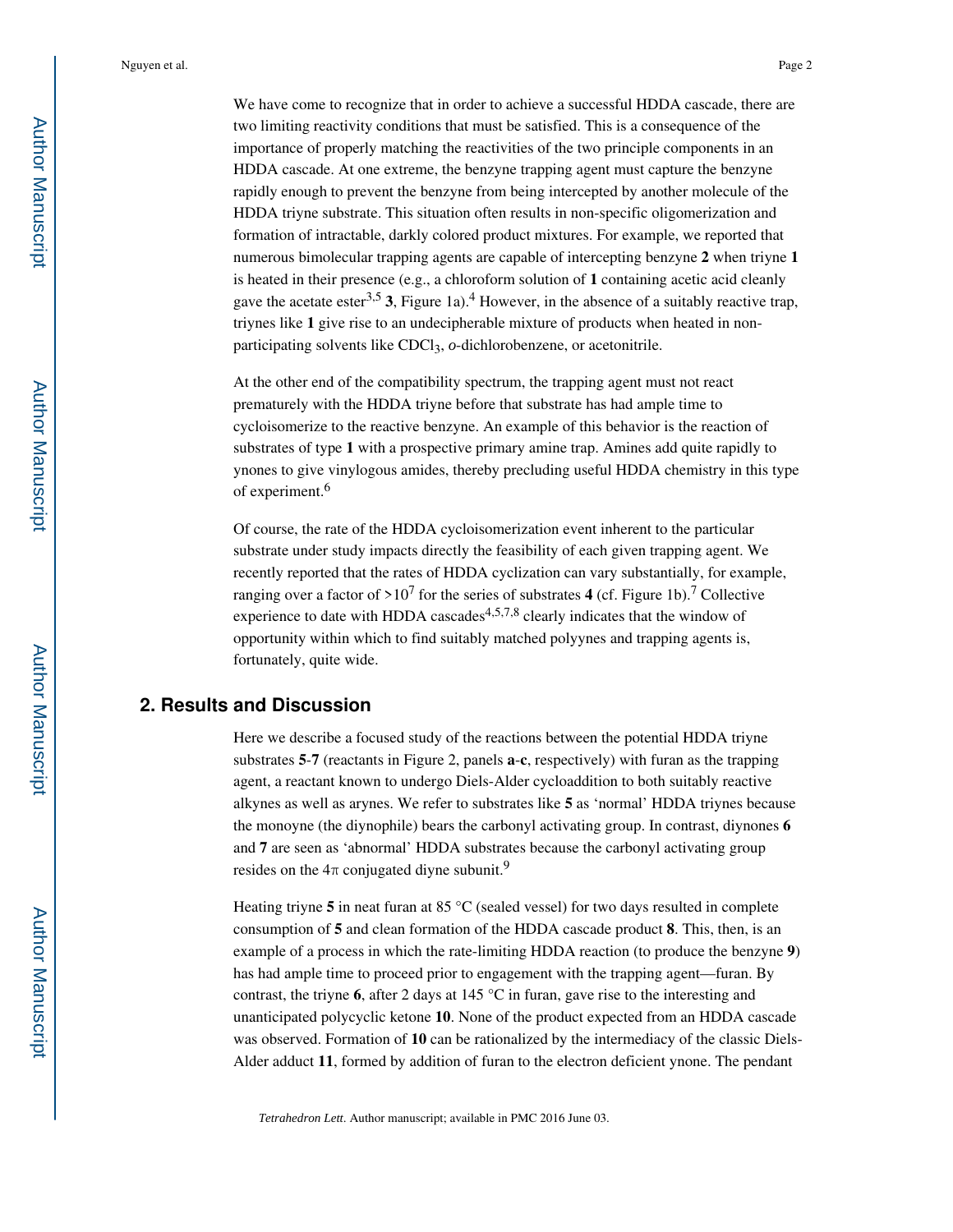Nguyen et al. Page 2

We have come to recognize that in order to achieve a successful HDDA cascade, there are two limiting reactivity conditions that must be satisfied. This is a consequence of the importance of properly matching the reactivities of the two principle components in an HDDA cascade. At one extreme, the benzyne trapping agent must capture the benzyne rapidly enough to prevent the benzyne from being intercepted by another molecule of the HDDA triyne substrate. This situation often results in non-specific oligomerization and formation of intractable, darkly colored product mixtures. For example, we reported that numerous bimolecular trapping agents are capable of intercepting benzyne **2** when triyne **1**  is heated in their presence (e.g., a chloroform solution of **1** containing acetic acid cleanly gave the acetate ester<sup>3,5</sup> 3, Figure 1a).<sup>4</sup> However, in the absence of a suitably reactive trap, triynes like **1** give rise to an undecipherable mixture of products when heated in nonparticipating solvents like CDCl<sub>3</sub>, *o*-dichlorobenzene, or acetonitrile.

At the other end of the compatibility spectrum, the trapping agent must not react prematurely with the HDDA triyne before that substrate has had ample time to cycloisomerize to the reactive benzyne. An example of this behavior is the reaction of substrates of type **1** with a prospective primary amine trap. Amines add quite rapidly to ynones to give vinylogous amides, thereby precluding useful HDDA chemistry in this type of experiment.<sup>6</sup>

Of course, the rate of the HDDA cycloisomerization event inherent to the particular substrate under study impacts directly the feasibility of each given trapping agent. We recently reported that the rates of HDDA cyclization can vary substantially, for example, ranging over a factor of  $>10^7$  for the series of substrates 4 (cf. Figure 1b).<sup>7</sup> Collective experience to date with HDDA cascades<sup>4,5,7,8</sup> clearly indicates that the window of opportunity within which to find suitably matched polyynes and trapping agents is, fortunately, quite wide.

### **2. Results and Discussion**

Here we describe a focused study of the reactions between the potential HDDA triyne substrates **5**-**7** (reactants in Figure 2, panels **a**-**c**, respectively) with furan as the trapping agent, a reactant known to undergo Diels-Alder cycloaddition to both suitably reactive alkynes as well as arynes. We refer to substrates like **5** as 'normal' HDDA triynes because the monoyne (the diynophile) bears the carbonyl activating group. In contrast, diynones **6**  and **7** are seen as 'abnormal' HDDA substrates because the carbonyl activating group resides on the  $4\pi$  conjugated diyne subunit.<sup>9</sup>

Heating triyne 5 in neat furan at 85 °C (sealed vessel) for two days resulted in complete consumption of **5** and clean formation of the HDDA cascade product **8**. This, then, is an example of a process in which the rate-limiting HDDA reaction (to produce the benzyne **9**) has had ample time to proceed prior to engagement with the trapping agent—furan. By contrast, the triyne **6**, after 2 days at 145 °C in furan, gave rise to the interesting and unanticipated polycyclic ketone **10**. None of the product expected from an HDDA cascade was observed. Formation of **10** can be rationalized by the intermediacy of the classic Diels-Alder adduct **11**, formed by addition of furan to the electron deficient ynone. The pendant

*Tetrahedron Lett*. Author manuscript; available in PMC 2016 June 03.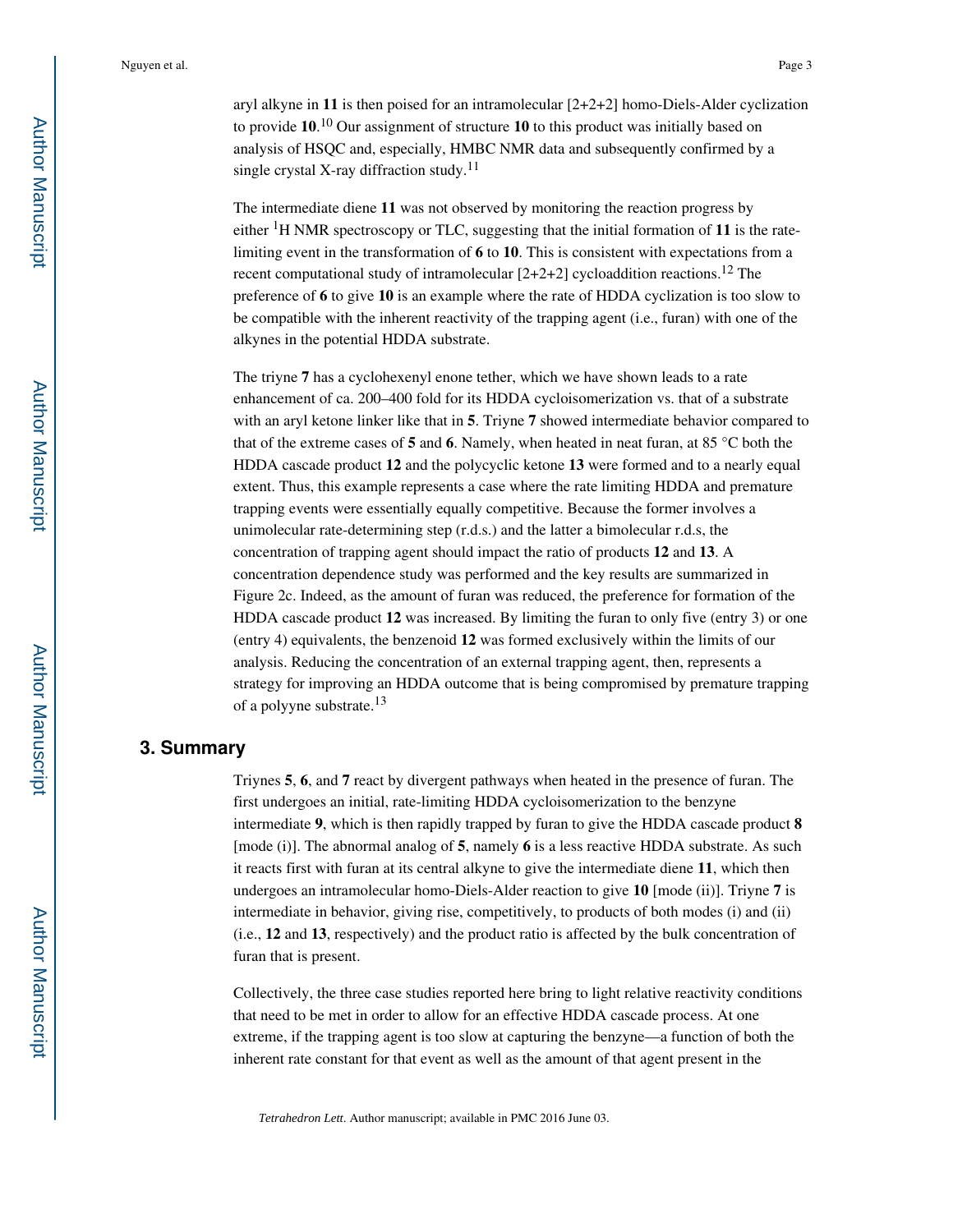aryl alkyne in **11** is then poised for an intramolecular [2+2+2] homo-Diels-Alder cyclization to provide **10**. <sup>10</sup> Our assignment of structure **10** to this product was initially based on analysis of HSQC and, especially, HMBC NMR data and subsequently confirmed by a single crystal X-ray diffraction study.<sup>11</sup>

The intermediate diene **11** was not observed by monitoring the reaction progress by either 1H NMR spectroscopy or TLC, suggesting that the initial formation of **11** is the ratelimiting event in the transformation of **6** to **10**. This is consistent with expectations from a recent computational study of intramolecular [2+2+2] cycloaddition reactions.12 The preference of **6** to give **10** is an example where the rate of HDDA cyclization is too slow to be compatible with the inherent reactivity of the trapping agent (i.e., furan) with one of the alkynes in the potential HDDA substrate.

The triyne **7** has a cyclohexenyl enone tether, which we have shown leads to a rate enhancement of ca. 200–400 fold for its HDDA cycloisomerization vs. that of a substrate with an aryl ketone linker like that in **5**. Triyne **7** showed intermediate behavior compared to that of the extreme cases of **5** and **6**. Namely, when heated in neat furan, at 85 °C both the HDDA cascade product **12** and the polycyclic ketone **13** were formed and to a nearly equal extent. Thus, this example represents a case where the rate limiting HDDA and premature trapping events were essentially equally competitive. Because the former involves a unimolecular rate-determining step (r.d.s.) and the latter a bimolecular r.d.s, the concentration of trapping agent should impact the ratio of products **12** and **13**. A concentration dependence study was performed and the key results are summarized in Figure 2c. Indeed, as the amount of furan was reduced, the preference for formation of the HDDA cascade product **12** was increased. By limiting the furan to only five (entry 3) or one (entry 4) equivalents, the benzenoid **12** was formed exclusively within the limits of our analysis. Reducing the concentration of an external trapping agent, then, represents a strategy for improving an HDDA outcome that is being compromised by premature trapping of a polyyne substrate.<sup>13</sup>

### **3. Summary**

Triynes **5**, **6**, and **7** react by divergent pathways when heated in the presence of furan. The first undergoes an initial, rate-limiting HDDA cycloisomerization to the benzyne intermediate **9**, which is then rapidly trapped by furan to give the HDDA cascade product **8**  [mode (i)]. The abnormal analog of **5**, namely **6** is a less reactive HDDA substrate. As such it reacts first with furan at its central alkyne to give the intermediate diene **11**, which then undergoes an intramolecular homo-Diels-Alder reaction to give **10** [mode (ii)]. Triyne **7** is intermediate in behavior, giving rise, competitively, to products of both modes (i) and (ii) (i.e., **12** and **13**, respectively) and the product ratio is affected by the bulk concentration of furan that is present.

Collectively, the three case studies reported here bring to light relative reactivity conditions that need to be met in order to allow for an effective HDDA cascade process. At one extreme, if the trapping agent is too slow at capturing the benzyne—a function of both the inherent rate constant for that event as well as the amount of that agent present in the

*Tetrahedron Lett*. Author manuscript; available in PMC 2016 June 03.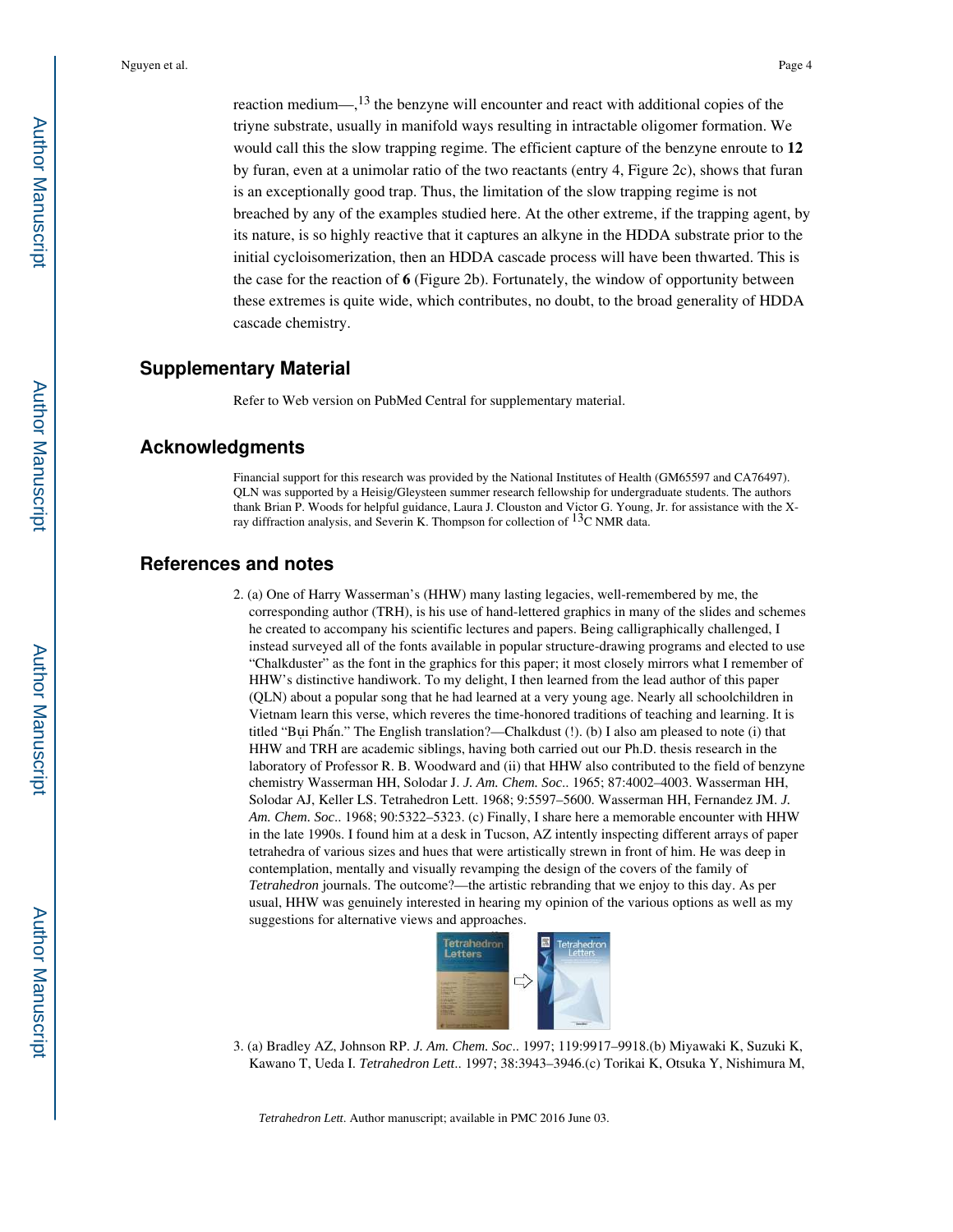reaction medium— $\frac{13}{13}$  the benzyne will encounter and react with additional copies of the triyne substrate, usually in manifold ways resulting in intractable oligomer formation. We would call this the slow trapping regime. The efficient capture of the benzyne enroute to **12**  by furan, even at a unimolar ratio of the two reactants (entry 4, Figure 2c), shows that furan is an exceptionally good trap. Thus, the limitation of the slow trapping regime is not breached by any of the examples studied here. At the other extreme, if the trapping agent, by its nature, is so highly reactive that it captures an alkyne in the HDDA substrate prior to the initial cycloisomerization, then an HDDA cascade process will have been thwarted. This is the case for the reaction of **6** (Figure 2b). Fortunately, the window of opportunity between these extremes is quite wide, which contributes, no doubt, to the broad generality of HDDA cascade chemistry.

#### **Supplementary Material**

Refer to Web version on PubMed Central for supplementary material.

#### **Acknowledgments**

Financial support for this research was provided by the National Institutes of Health (GM65597 and CA76497). QLN was supported by a Heisig/Gleysteen summer research fellowship for undergraduate students. The authors thank Brian P. Woods for helpful guidance, Laura J. Clouston and Victor G. Young, Jr. for assistance with the Xray diffraction analysis, and Severin K. Thompson for collection of  $^{13}$ C NMR data.

#### **References and notes**

2. (a) One of Harry Wasserman's (HHW) many lasting legacies, well-remembered by me, the corresponding author (TRH), is his use of hand-lettered graphics in many of the slides and schemes he created to accompany his scientific lectures and papers. Being calligraphically challenged, I instead surveyed all of the fonts available in popular structure-drawing programs and elected to use "Chalkduster" as the font in the graphics for this paper; it most closely mirrors what I remember of HHW's distinctive handiwork. To my delight, I then learned from the lead author of this paper (QLN) about a popular song that he had learned at a very young age. Nearly all schoolchildren in Vietnam learn this verse, which reveres the time-honored traditions of teaching and learning. It is titled "Bụi Phấn." The English translation?—Chalkdust (!). (b) I also am pleased to note (i) that HHW and TRH are academic siblings, having both carried out our Ph.D. thesis research in the laboratory of Professor R. B. Woodward and (ii) that HHW also contributed to the field of benzyne chemistry Wasserman HH, Solodar J. *J. Am. Chem. Soc*.. 1965; 87:4002–4003. Wasserman HH, Solodar AJ, Keller LS. Tetrahedron Lett. 1968; 9:5597–5600. Wasserman HH, Fernandez JM. *J. Am. Chem. Soc*.. 1968; 90:5322–5323. (c) Finally, I share here a memorable encounter with HHW in the late 1990s. I found him at a desk in Tucson, AZ intently inspecting different arrays of paper tetrahedra of various sizes and hues that were artistically strewn in front of him. He was deep in contemplation, mentally and visually revamping the design of the covers of the family of *Tetrahedron* journals. The outcome?—the artistic rebranding that we enjoy to this day. As per usual, HHW was genuinely interested in hearing my opinion of the various options as well as my suggestions for alternative views and approaches.



3. (a) Bradley AZ, Johnson RP. *J. Am. Chem. Soc*.. 1997; 119:9917–9918.(b) Miyawaki K, Suzuki K, Kawano T, Ueda I. *Tetrahedron Lett*.. 1997; 38:3943–3946.(c) Torikai K, Otsuka Y, Nishimura M,

*Tetrahedron Lett*. Author manuscript; available in PMC 2016 June 03.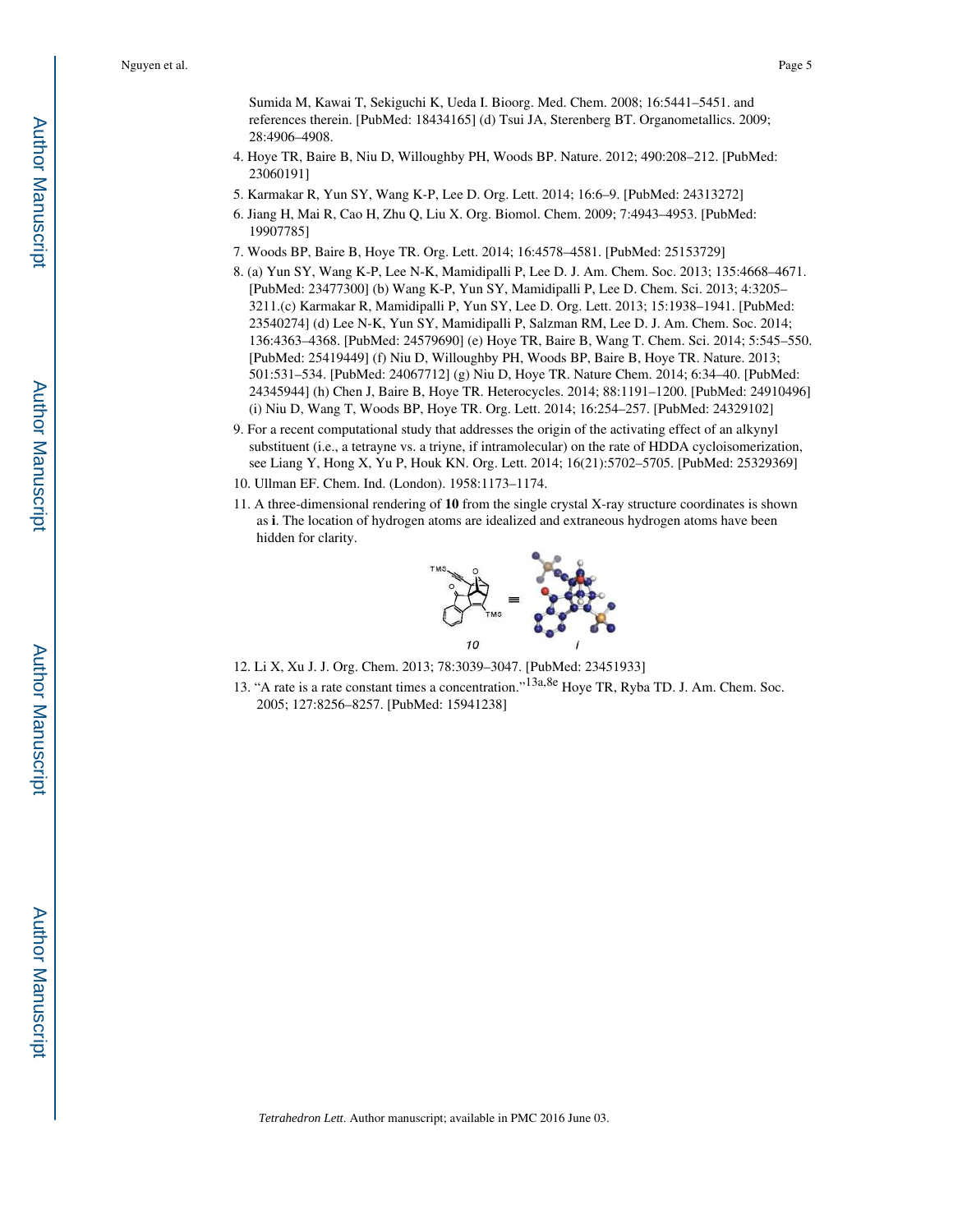Sumida M, Kawai T, Sekiguchi K, Ueda I. Bioorg. Med. Chem. 2008; 16:5441–5451. and references therein. [PubMed: 18434165] (d) Tsui JA, Sterenberg BT. Organometallics. 2009; 28:4906–4908.

- 4. Hoye TR, Baire B, Niu D, Willoughby PH, Woods BP. Nature. 2012; 490:208–212. [PubMed: 23060191]
- 5. Karmakar R, Yun SY, Wang K-P, Lee D. Org. Lett. 2014; 16:6–9. [PubMed: 24313272]
- 6. Jiang H, Mai R, Cao H, Zhu Q, Liu X. Org. Biomol. Chem. 2009; 7:4943–4953. [PubMed: 19907785]
- 7. Woods BP, Baire B, Hoye TR. Org. Lett. 2014; 16:4578–4581. [PubMed: 25153729]
- 8. (a) Yun SY, Wang K-P, Lee N-K, Mamidipalli P, Lee D. J. Am. Chem. Soc. 2013; 135:4668–4671. [PubMed: 23477300] (b) Wang K-P, Yun SY, Mamidipalli P, Lee D. Chem. Sci. 2013; 4:3205– 3211.(c) Karmakar R, Mamidipalli P, Yun SY, Lee D. Org. Lett. 2013; 15:1938–1941. [PubMed: 23540274] (d) Lee N-K, Yun SY, Mamidipalli P, Salzman RM, Lee D. J. Am. Chem. Soc. 2014; 136:4363–4368. [PubMed: 24579690] (e) Hoye TR, Baire B, Wang T. Chem. Sci. 2014; 5:545–550. [PubMed: 25419449] (f) Niu D, Willoughby PH, Woods BP, Baire B, Hoye TR. Nature. 2013; 501:531–534. [PubMed: 24067712] (g) Niu D, Hoye TR. Nature Chem. 2014; 6:34–40. [PubMed: 24345944] (h) Chen J, Baire B, Hoye TR. Heterocycles. 2014; 88:1191–1200. [PubMed: 24910496] (i) Niu D, Wang T, Woods BP, Hoye TR. Org. Lett. 2014; 16:254–257. [PubMed: 24329102]
- 9. For a recent computational study that addresses the origin of the activating effect of an alkynyl substituent (i.e., a tetrayne vs. a triyne, if intramolecular) on the rate of HDDA cycloisomerization, see Liang Y, Hong X, Yu P, Houk KN. Org. Lett. 2014; 16(21):5702–5705. [PubMed: 25329369]
- 10. Ullman EF. Chem. Ind. (London). 1958:1173–1174.
- 11. A three-dimensional rendering of **10** from the single crystal X-ray structure coordinates is shown as **i**. The location of hydrogen atoms are idealized and extraneous hydrogen atoms have been hidden for clarity.



- 12. Li X, Xu J. J. Org. Chem. 2013; 78:3039–3047. [PubMed: 23451933]
- 13. "A rate is a rate constant times a concentration."<sup>13a,8e</sup> Hoye TR, Ryba TD. J. Am. Chem. Soc. 2005; 127:8256–8257. [PubMed: 15941238]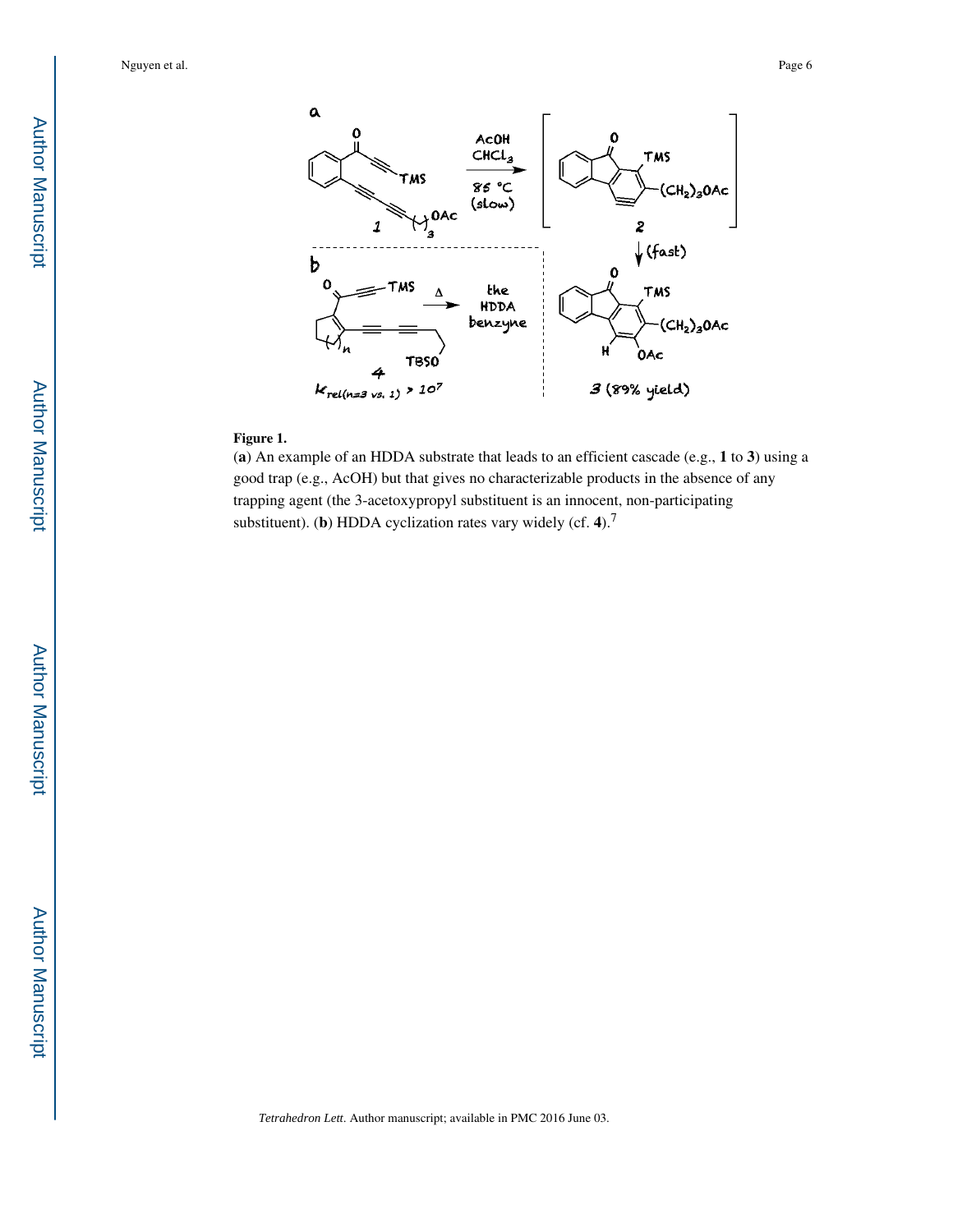Nguyen et al. Page 6



#### **Figure 1.**

(**a**) An example of an HDDA substrate that leads to an efficient cascade (e.g., **1** to **3**) using a good trap (e.g., AcOH) but that gives no characterizable products in the absence of any trapping agent (the 3-acetoxypropyl substituent is an innocent, non-participating substituent). (**b**) HDDA cyclization rates vary widely (cf. **4**).<sup>7</sup>